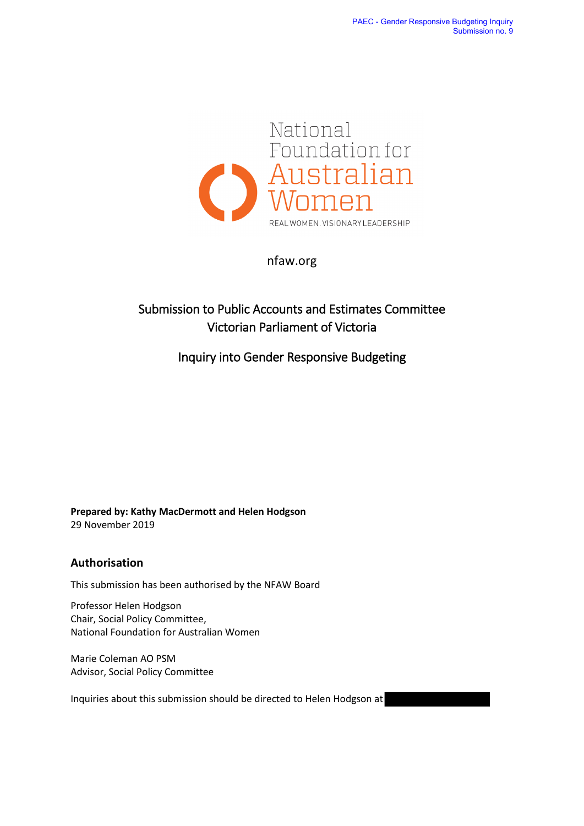

nfaw.org

# Submission to Public Accounts and Estimates Committee Victorian Parliament of Victoria

Inquiry into Gender Responsive Budgeting

**Prepared by: Kathy MacDermott and Helen Hodgson** 29 November 2019

#### **Authorisation**

This submission has been authorised by the NFAW Board

Professor Helen Hodgson Chair, Social Policy Committee, National Foundation for Australian Women

Marie Coleman AO PSM Advisor, Social Policy Committee

Inquiries about this submission should be directed to Helen Hodgson at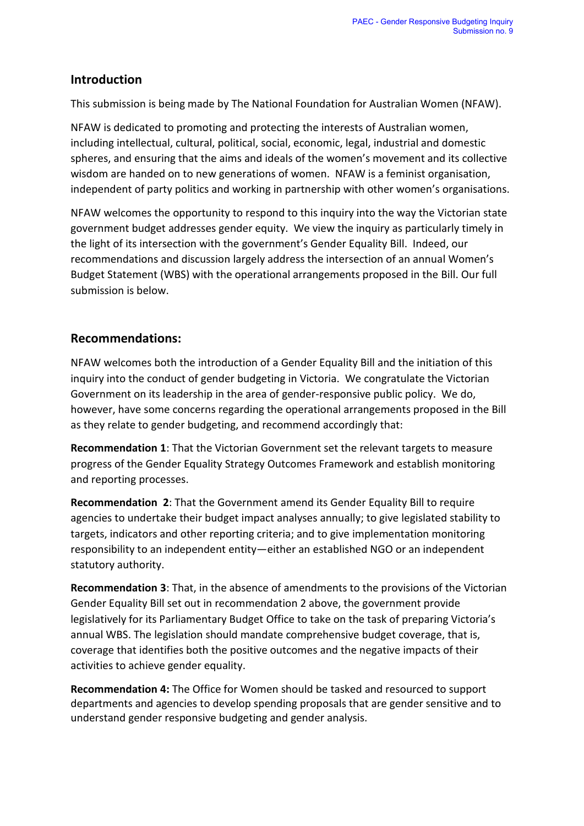### **Introduction**

This submission is being made by The National Foundation for Australian Women (NFAW).

NFAW is dedicated to promoting and protecting the interests of Australian women, including intellectual, cultural, political, social, economic, legal, industrial and domestic spheres, and ensuring that the aims and ideals of the women's movement and its collective wisdom are handed on to new generations of women. NFAW is a feminist organisation, independent of party politics and working in partnership with other women's organisations.

NFAW welcomes the opportunity to respond to this inquiry into the way the Victorian state government budget addresses gender equity. We view the inquiry as particularly timely in the light of its intersection with the government's Gender Equality Bill. Indeed, our recommendations and discussion largely address the intersection of an annual Women's Budget Statement (WBS) with the operational arrangements proposed in the Bill. Our full submission is below.

## **Recommendations:**

NFAW welcomes both the introduction of a Gender Equality Bill and the initiation of this inquiry into the conduct of gender budgeting in Victoria. We congratulate the Victorian Government on its leadership in the area of gender-responsive public policy. We do, however, have some concerns regarding the operational arrangements proposed in the Bill as they relate to gender budgeting, and recommend accordingly that:

**Recommendation 1**: That the Victorian Government set the relevant targets to measure progress of the Gender Equality Strategy Outcomes Framework and establish monitoring and reporting processes.

**Recommendation 2**: That the Government amend its Gender Equality Bill to require agencies to undertake their budget impact analyses annually; to give legislated stability to targets, indicators and other reporting criteria; and to give implementation monitoring responsibility to an independent entity—either an established NGO or an independent statutory authority.

**Recommendation 3**: That, in the absence of amendments to the provisions of the Victorian Gender Equality Bill set out in recommendation 2 above, the government provide legislatively for its Parliamentary Budget Office to take on the task of preparing Victoria's annual WBS. The legislation should mandate comprehensive budget coverage, that is, coverage that identifies both the positive outcomes and the negative impacts of their activities to achieve gender equality.

**Recommendation 4:** The Office for Women should be tasked and resourced to support departments and agencies to develop spending proposals that are gender sensitive and to understand gender responsive budgeting and gender analysis.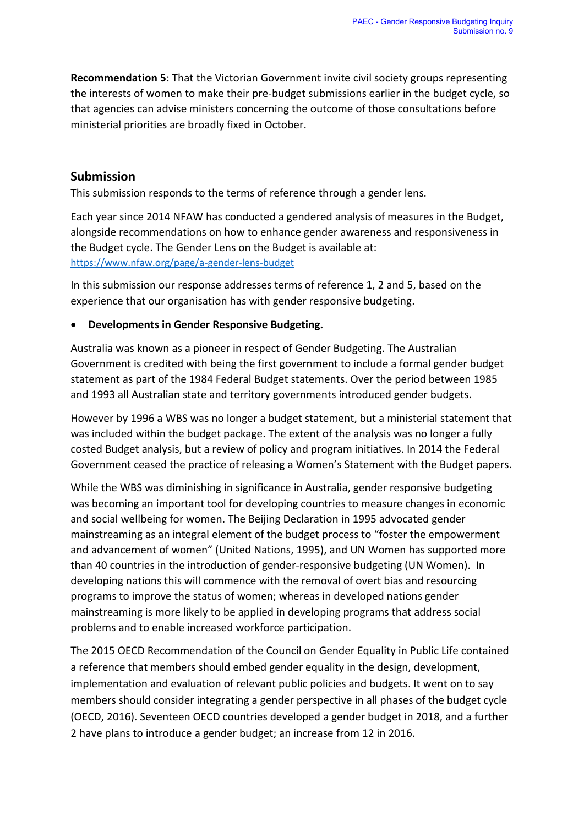**Recommendation 5**: That the Victorian Government invite civil society groups representing the interests of women to make their pre-budget submissions earlier in the budget cycle, so that agencies can advise ministers concerning the outcome of those consultations before ministerial priorities are broadly fixed in October.

### **Submission**

This submission responds to the terms of reference through a gender lens.

Each year since 2014 NFAW has conducted a gendered analysis of measures in the Budget, alongside recommendations on how to enhance gender awareness and responsiveness in the Budget cycle. The Gender Lens on the Budget is available at: <https://www.nfaw.org/page/a-gender-lens-budget>

In this submission our response addresses terms of reference 1, 2 and 5, based on the experience that our organisation has with gender responsive budgeting.

#### • **Developments in Gender Responsive Budgeting.**

Australia was known as a pioneer in respect of Gender Budgeting. The Australian Government is credited with being the first government to include a formal gender budget statement as part of the 1984 Federal Budget statements. Over the period between 1985 and 1993 all Australian state and territory governments introduced gender budgets.

However by 1996 a WBS was no longer a budget statement, but a ministerial statement that was included within the budget package. The extent of the analysis was no longer a fully costed Budget analysis, but a review of policy and program initiatives. In 2014 the Federal Government ceased the practice of releasing a Women's Statement with the Budget papers.

While the WBS was diminishing in significance in Australia, gender responsive budgeting was becoming an important tool for developing countries to measure changes in economic and social wellbeing for women. The Beijing Declaration in 1995 advocated gender mainstreaming as an integral element of the budget process to "foster the empowerment and advancement of women" (United Nations, 1995), and UN Women has supported more than 40 countries in the introduction of gender-responsive budgeting (UN Women). In developing nations this will commence with the removal of overt bias and resourcing programs to improve the status of women; whereas in developed nations gender mainstreaming is more likely to be applied in developing programs that address social problems and to enable increased workforce participation.

The 2015 OECD Recommendation of the Council on Gender Equality in Public Life contained a reference that members should embed gender equality in the design, development, implementation and evaluation of relevant public policies and budgets. It went on to say members should consider integrating a gender perspective in all phases of the budget cycle (OECD, 2016). Seventeen OECD countries developed a gender budget in 2018, and a further 2 have plans to introduce a gender budget; an increase from 12 in 2016.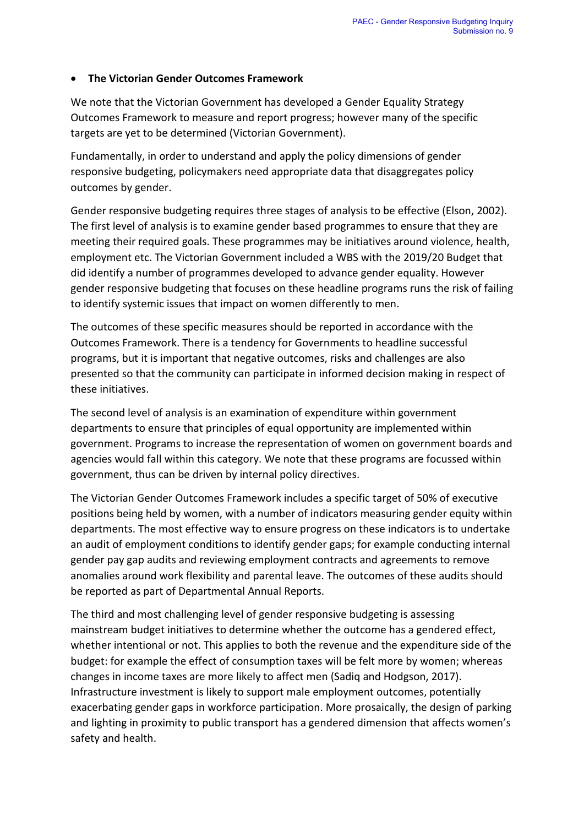#### • **The Victorian Gender Outcomes Framework**

We note that the Victorian Government has developed a Gender Equality Strategy Outcomes Framework to measure and report progress; however many of the specific targets are yet to be determined (Victorian Government).

Fundamentally, in order to understand and apply the policy dimensions of gender responsive budgeting, policymakers need appropriate data that disaggregates policy outcomes by gender.

Gender responsive budgeting requires three stages of analysis to be effective (Elson, 2002). The first level of analysis is to examine gender based programmes to ensure that they are meeting their required goals. These programmes may be initiatives around violence, health, employment etc. The Victorian Government included a WBS with the 2019/20 Budget that did identify a number of programmes developed to advance gender equality. However gender responsive budgeting that focuses on these headline programs runs the risk of failing to identify systemic issues that impact on women differently to men.

The outcomes of these specific measures should be reported in accordance with the Outcomes Framework. There is a tendency for Governments to headline successful programs, but it is important that negative outcomes, risks and challenges are also presented so that the community can participate in informed decision making in respect of these initiatives.

The second level of analysis is an examination of expenditure within government departments to ensure that principles of equal opportunity are implemented within government. Programs to increase the representation of women on government boards and agencies would fall within this category. We note that these programs are focussed within government, thus can be driven by internal policy directives.

The Victorian Gender Outcomes Framework includes a specific target of 50% of executive positions being held by women, with a number of indicators measuring gender equity within departments. The most effective way to ensure progress on these indicators is to undertake an audit of employment conditions to identify gender gaps; for example conducting internal gender pay gap audits and reviewing employment contracts and agreements to remove anomalies around work flexibility and parental leave. The outcomes of these audits should be reported as part of Departmental Annual Reports.

The third and most challenging level of gender responsive budgeting is assessing mainstream budget initiatives to determine whether the outcome has a gendered effect, whether intentional or not. This applies to both the revenue and the expenditure side of the budget: for example the effect of consumption taxes will be felt more by women; whereas changes in income taxes are more likely to affect men (Sadiq and Hodgson, 2017). Infrastructure investment is likely to support male employment outcomes, potentially exacerbating gender gaps in workforce participation. More prosaically, the design of parking and lighting in proximity to public transport has a gendered dimension that affects women's safety and health.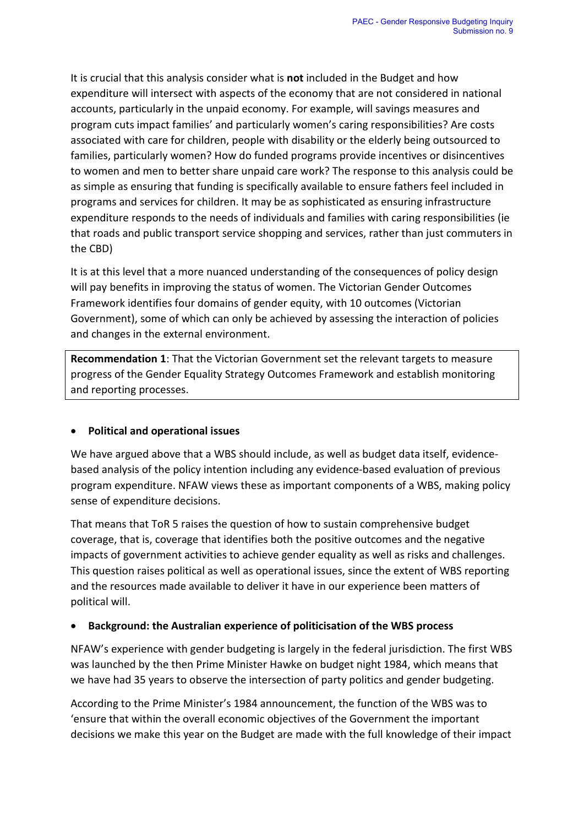It is crucial that this analysis consider what is **not** included in the Budget and how expenditure will intersect with aspects of the economy that are not considered in national accounts, particularly in the unpaid economy. For example, will savings measures and program cuts impact families' and particularly women's caring responsibilities? Are costs associated with care for children, people with disability or the elderly being outsourced to families, particularly women? How do funded programs provide incentives or disincentives to women and men to better share unpaid care work? The response to this analysis could be as simple as ensuring that funding is specifically available to ensure fathers feel included in programs and services for children. It may be as sophisticated as ensuring infrastructure expenditure responds to the needs of individuals and families with caring responsibilities (ie that roads and public transport service shopping and services, rather than just commuters in the CBD)

It is at this level that a more nuanced understanding of the consequences of policy design will pay benefits in improving the status of women. The Victorian Gender Outcomes Framework identifies four domains of gender equity, with 10 outcomes (Victorian Government), some of which can only be achieved by assessing the interaction of policies and changes in the external environment.

**Recommendation 1**: That the Victorian Government set the relevant targets to measure progress of the Gender Equality Strategy Outcomes Framework and establish monitoring and reporting processes.

#### • **Political and operational issues**

We have argued above that a WBS should include, as well as budget data itself, evidencebased analysis of the policy intention including any evidence-based evaluation of previous program expenditure. NFAW views these as important components of a WBS, making policy sense of expenditure decisions.

That means that ToR 5 raises the question of how to sustain comprehensive budget coverage, that is, coverage that identifies both the positive outcomes and the negative impacts of government activities to achieve gender equality as well as risks and challenges. This question raises political as well as operational issues, since the extent of WBS reporting and the resources made available to deliver it have in our experience been matters of political will.

#### • **Background: the Australian experience of politicisation of the WBS process**

NFAW's experience with gender budgeting is largely in the federal jurisdiction. The first WBS was launched by the then Prime Minister Hawke on budget night 1984, which means that we have had 35 years to observe the intersection of party politics and gender budgeting.

According to the Prime Minister's 1984 announcement, the function of the WBS was to 'ensure that within the overall economic objectives of the Government the important decisions we make this year on the Budget are made with the full knowledge of their impact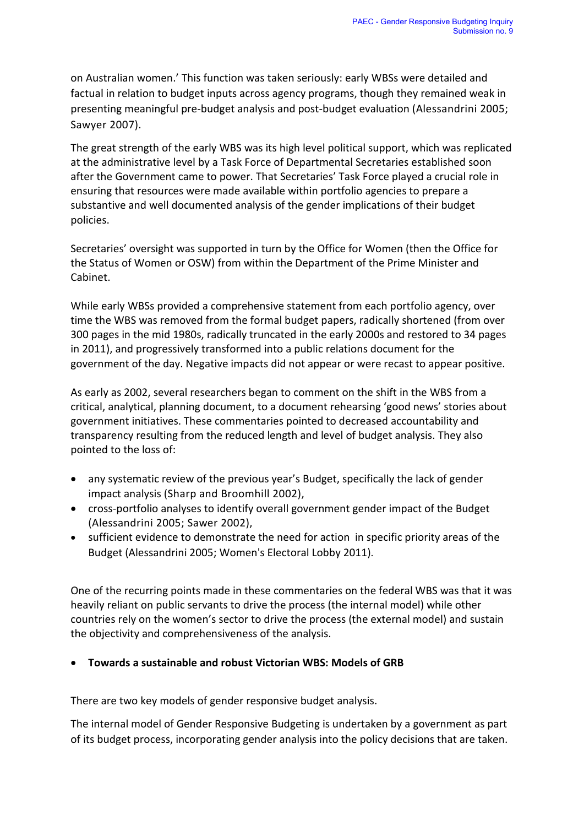on Australian women.' This function was taken seriously: early WBSs were detailed and factual in relation to budget inputs across agency programs, though they remained weak in presenting meaningful pre-budget analysis and post-budget evaluation (Alessandrini 2005; Sawyer 2007).

The great strength of the early WBS was its high level political support, which was replicated at the administrative level by a Task Force of Departmental Secretaries established soon after the Government came to power. That Secretaries' Task Force played a crucial role in ensuring that resources were made available within portfolio agencies to prepare a substantive and well documented analysis of the gender implications of their budget policies.

Secretaries' oversight was supported in turn by the Office for Women (then the Office for the Status of Women or OSW) from within the Department of the Prime Minister and Cabinet.

While early WBSs provided a comprehensive statement from each portfolio agency, over time the WBS was removed from the formal budget papers, radically shortened (from over 300 pages in the mid 1980s, radically truncated in the early 2000s and restored to 34 pages in 2011), and progressively transformed into a public relations document for the government of the day. Negative impacts did not appear or were recast to appear positive.

As early as 2002, several researchers began to comment on the shift in the WBS from a critical, analytical, planning document, to a document rehearsing 'good news' stories about government initiatives. These commentaries pointed to decreased accountability and transparency resulting from the reduced length and level of budget analysis. They also pointed to the loss of:

- any systematic review of the previous year's Budget, specifically the lack of gender impact analysis (Sharp and Broomhill 2002),
- cross-portfolio analyses to identify overall government gender impact of the Budget (Alessandrini 2005; Sawer 2002),
- sufficient evidence to demonstrate the need for action in specific priority areas of the Budget (Alessandrini 2005; Women's Electoral Lobby 2011).

One of the recurring points made in these commentaries on the federal WBS was that it was heavily reliant on public servants to drive the process (the internal model) while other countries rely on the women's sector to drive the process (the external model) and sustain the objectivity and comprehensiveness of the analysis.

#### • **Towards a sustainable and robust Victorian WBS: Models of GRB**

There are two key models of gender responsive budget analysis.

The internal model of Gender Responsive Budgeting is undertaken by a government as part of its budget process, incorporating gender analysis into the policy decisions that are taken.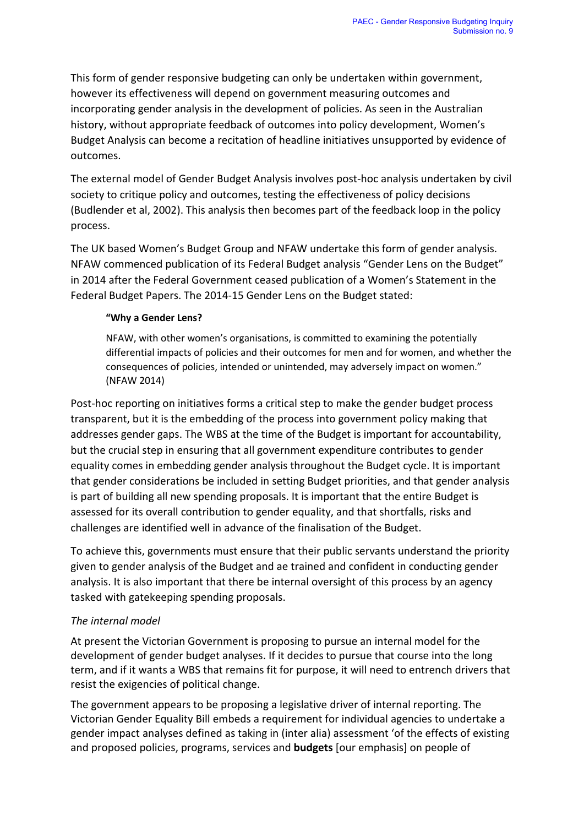This form of gender responsive budgeting can only be undertaken within government, however its effectiveness will depend on government measuring outcomes and incorporating gender analysis in the development of policies. As seen in the Australian history, without appropriate feedback of outcomes into policy development, Women's Budget Analysis can become a recitation of headline initiatives unsupported by evidence of outcomes.

The external model of Gender Budget Analysis involves post-hoc analysis undertaken by civil society to critique policy and outcomes, testing the effectiveness of policy decisions (Budlender et al, 2002). This analysis then becomes part of the feedback loop in the policy process.

The UK based Women's Budget Group and NFAW undertake this form of gender analysis. NFAW commenced publication of its Federal Budget analysis "Gender Lens on the Budget" in 2014 after the Federal Government ceased publication of a Women's Statement in the Federal Budget Papers. The 2014-15 Gender Lens on the Budget stated:

#### **"Why a Gender Lens?**

NFAW, with other women's organisations, is committed to examining the potentially differential impacts of policies and their outcomes for men and for women, and whether the consequences of policies, intended or unintended, may adversely impact on women." (NFAW 2014)

Post-hoc reporting on initiatives forms a critical step to make the gender budget process transparent, but it is the embedding of the process into government policy making that addresses gender gaps. The WBS at the time of the Budget is important for accountability, but the crucial step in ensuring that all government expenditure contributes to gender equality comes in embedding gender analysis throughout the Budget cycle. It is important that gender considerations be included in setting Budget priorities, and that gender analysis is part of building all new spending proposals. It is important that the entire Budget is assessed for its overall contribution to gender equality, and that shortfalls, risks and challenges are identified well in advance of the finalisation of the Budget.

To achieve this, governments must ensure that their public servants understand the priority given to gender analysis of the Budget and ae trained and confident in conducting gender analysis. It is also important that there be internal oversight of this process by an agency tasked with gatekeeping spending proposals.

#### *The internal model*

At present the Victorian Government is proposing to pursue an internal model for the development of gender budget analyses. If it decides to pursue that course into the long term, and if it wants a WBS that remains fit for purpose, it will need to entrench drivers that resist the exigencies of political change.

The government appears to be proposing a legislative driver of internal reporting. The Victorian Gender Equality Bill embeds a requirement for individual agencies to undertake a gender impact analyses defined as taking in (inter alia) assessment 'of the effects of existing and proposed policies, programs, services and **budgets** [our emphasis] on people of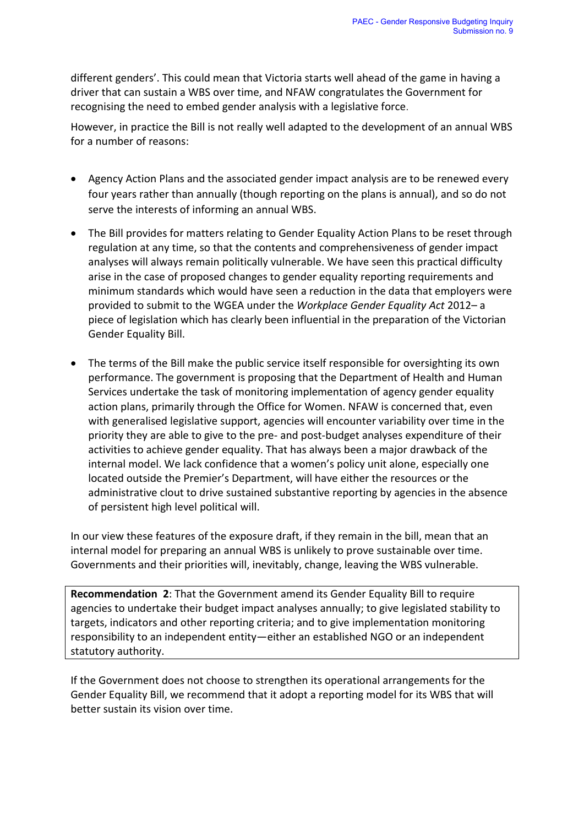different genders'. This could mean that Victoria starts well ahead of the game in having a driver that can sustain a WBS over time, and NFAW congratulates the Government for recognising the need to embed gender analysis with a legislative force.

However, in practice the Bill is not really well adapted to the development of an annual WBS for a number of reasons:

- Agency Action Plans and the associated gender impact analysis are to be renewed every four years rather than annually (though reporting on the plans is annual), and so do not serve the interests of informing an annual WBS.
- The Bill provides for matters relating to Gender Equality Action Plans to be reset through regulation at any time, so that the contents and comprehensiveness of gender impact analyses will always remain politically vulnerable. We have seen this practical difficulty arise in the case of proposed changes to gender equality reporting requirements and minimum standards which would have seen a reduction in the data that employers were provided to submit to the WGEA under the *Workplace Gender Equality Act* 2012– a piece of legislation which has clearly been influential in the preparation of the Victorian Gender Equality Bill.
- The terms of the Bill make the public service itself responsible for oversighting its own performance. The government is proposing that the Department of Health and Human Services undertake the task of monitoring implementation of agency gender equality action plans, primarily through the Office for Women. NFAW is concerned that, even with generalised legislative support, agencies will encounter variability over time in the priority they are able to give to the pre- and post-budget analyses expenditure of their activities to achieve gender equality. That has always been a major drawback of the internal model. We lack confidence that a women's policy unit alone, especially one located outside the Premier's Department, will have either the resources or the administrative clout to drive sustained substantive reporting by agencies in the absence of persistent high level political will.

In our view these features of the exposure draft, if they remain in the bill, mean that an internal model for preparing an annual WBS is unlikely to prove sustainable over time. Governments and their priorities will, inevitably, change, leaving the WBS vulnerable.

**Recommendation 2**: That the Government amend its Gender Equality Bill to require agencies to undertake their budget impact analyses annually; to give legislated stability to targets, indicators and other reporting criteria; and to give implementation monitoring responsibility to an independent entity—either an established NGO or an independent statutory authority.

If the Government does not choose to strengthen its operational arrangements for the Gender Equality Bill, we recommend that it adopt a reporting model for its WBS that will better sustain its vision over time.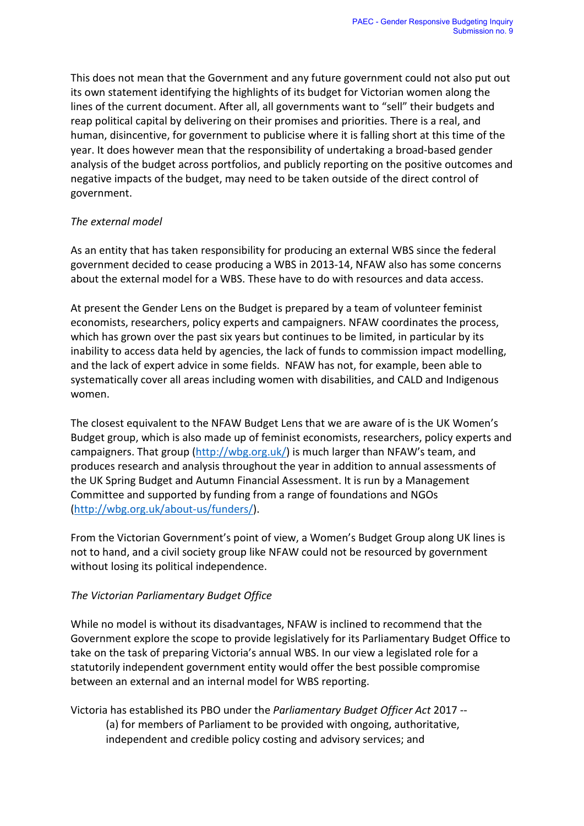This does not mean that the Government and any future government could not also put out its own statement identifying the highlights of its budget for Victorian women along the lines of the current document. After all, all governments want to "sell" their budgets and reap political capital by delivering on their promises and priorities. There is a real, and human, disincentive, for government to publicise where it is falling short at this time of the year. It does however mean that the responsibility of undertaking a broad-based gender analysis of the budget across portfolios, and publicly reporting on the positive outcomes and negative impacts of the budget, may need to be taken outside of the direct control of government.

#### *The external model*

As an entity that has taken responsibility for producing an external WBS since the federal government decided to cease producing a WBS in 2013-14, NFAW also has some concerns about the external model for a WBS. These have to do with resources and data access.

At present the Gender Lens on the Budget is prepared by a team of volunteer feminist economists, researchers, policy experts and campaigners. NFAW coordinates the process, which has grown over the past six years but continues to be limited, in particular by its inability to access data held by agencies, the lack of funds to commission impact modelling, and the lack of expert advice in some fields. NFAW has not, for example, been able to systematically cover all areas including women with disabilities, and CALD and Indigenous women.

The closest equivalent to the NFAW Budget Lens that we are aware of is the UK Women's Budget group, which is also made up of feminist economists, researchers, policy experts and campaigners. That group [\(http://wbg.org.uk/\)](http://wbg.org.uk/) is much larger than NFAW's team, and produces research and analysis throughout the year in addition to annual assessments of the UK Spring Budget and Autumn Financial Assessment. It is run by a Management Committee and supported by funding from a range of foundations and NGOs [\(http://wbg.org.uk/about-us/funders/\)](http://wbg.org.uk/about-us/funders/).

From the Victorian Government's point of view, a Women's Budget Group along UK lines is not to hand, and a civil society group like NFAW could not be resourced by government without losing its political independence.

#### *The Victorian Parliamentary Budget Office*

While no model is without its disadvantages, NFAW is inclined to recommend that the Government explore the scope to provide legislatively for its Parliamentary Budget Office to take on the task of preparing Victoria's annual WBS. In our view a legislated role for a statutorily independent government entity would offer the best possible compromise between an external and an internal model for WBS reporting.

Victoria has established its PBO under the *Parliamentary Budget Officer Act* 2017 -- (a) for members of Parliament to be provided with ongoing, authoritative, independent and credible policy costing and advisory services; and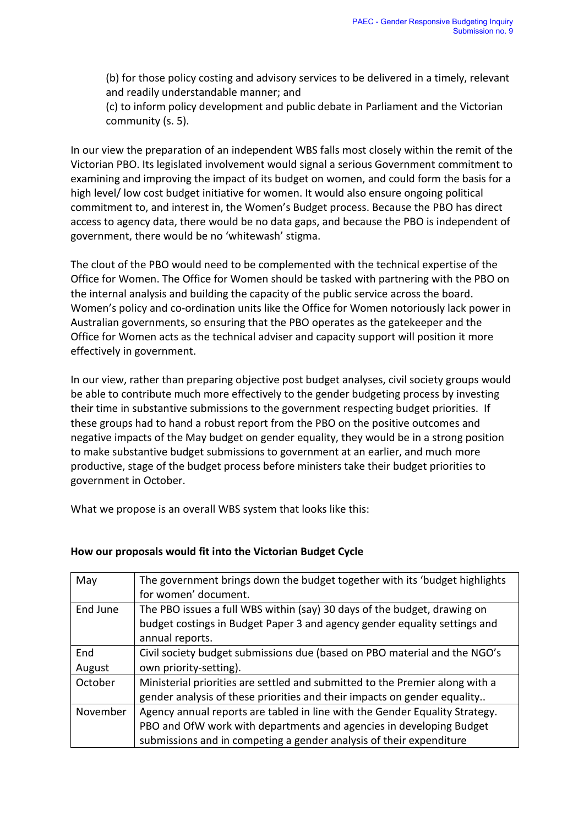(b) for those policy costing and advisory services to be delivered in a timely, relevant and readily understandable manner; and

(c) to inform policy development and public debate in Parliament and the Victorian community (s. 5).

In our view the preparation of an independent WBS falls most closely within the remit of the Victorian PBO. Its legislated involvement would signal a serious Government commitment to examining and improving the impact of its budget on women, and could form the basis for a high level/ low cost budget initiative for women. It would also ensure ongoing political commitment to, and interest in, the Women's Budget process. Because the PBO has direct access to agency data, there would be no data gaps, and because the PBO is independent of government, there would be no 'whitewash' stigma.

The clout of the PBO would need to be complemented with the technical expertise of the Office for Women. The Office for Women should be tasked with partnering with the PBO on the internal analysis and building the capacity of the public service across the board. Women's policy and co-ordination units like the Office for Women notoriously lack power in Australian governments, so ensuring that the PBO operates as the gatekeeper and the Office for Women acts as the technical adviser and capacity support will position it more effectively in government.

In our view, rather than preparing objective post budget analyses, civil society groups would be able to contribute much more effectively to the gender budgeting process by investing their time in substantive submissions to the government respecting budget priorities. If these groups had to hand a robust report from the PBO on the positive outcomes and negative impacts of the May budget on gender equality, they would be in a strong position to make substantive budget submissions to government at an earlier, and much more productive, stage of the budget process before ministers take their budget priorities to government in October.

What we propose is an overall WBS system that looks like this:

| May      | The government brings down the budget together with its 'budget highlights   |
|----------|------------------------------------------------------------------------------|
|          | for women' document.                                                         |
| End June | The PBO issues a full WBS within (say) 30 days of the budget, drawing on     |
|          | budget costings in Budget Paper 3 and agency gender equality settings and    |
|          | annual reports.                                                              |
| End      | Civil society budget submissions due (based on PBO material and the NGO's    |
| August   | own priority-setting).                                                       |
| October  | Ministerial priorities are settled and submitted to the Premier along with a |
|          | gender analysis of these priorities and their impacts on gender equality     |
| November | Agency annual reports are tabled in line with the Gender Equality Strategy.  |
|          | PBO and OfW work with departments and agencies in developing Budget          |
|          | submissions and in competing a gender analysis of their expenditure          |

#### **How our proposals would fit into the Victorian Budget Cycle**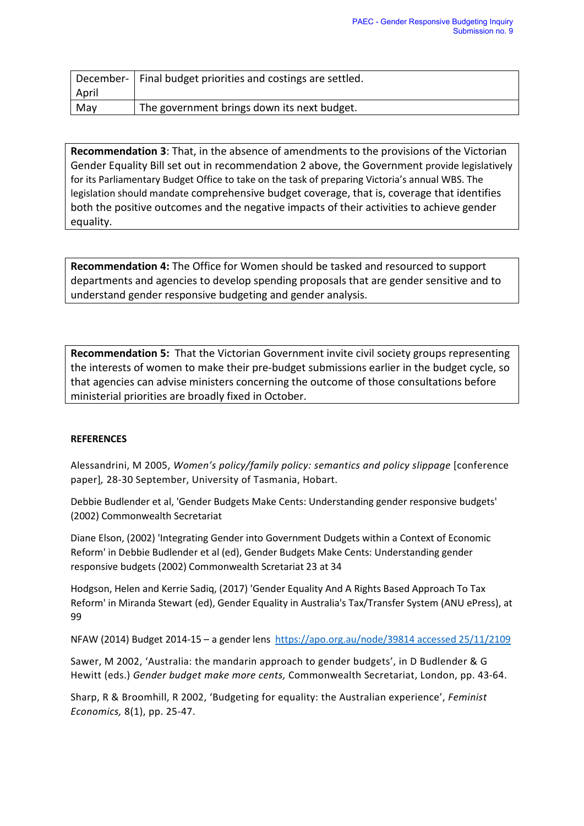|       | December-   Final budget priorities and costings are settled. |
|-------|---------------------------------------------------------------|
| April |                                                               |
| May   | The government brings down its next budget.                   |

**Recommendation 3**: That, in the absence of amendments to the provisions of the Victorian Gender Equality Bill set out in recommendation 2 above, the Government provide legislatively for its Parliamentary Budget Office to take on the task of preparing Victoria's annual WBS. The legislation should mandate comprehensive budget coverage, that is, coverage that identifies both the positive outcomes and the negative impacts of their activities to achieve gender equality.

**Recommendation 4:** The Office for Women should be tasked and resourced to support departments and agencies to develop spending proposals that are gender sensitive and to understand gender responsive budgeting and gender analysis.

**Recommendation 5:** That the Victorian Government invite civil society groups representing the interests of women to make their pre-budget submissions earlier in the budget cycle, so that agencies can advise ministers concerning the outcome of those consultations before ministerial priorities are broadly fixed in October.

#### **REFERENCES**

Alessandrini, M 2005, *Women's policy/family policy: semantics and policy slippage* [conference paper]*,* 28-30 September, University of Tasmania, Hobart.

Debbie Budlender et al, 'Gender Budgets Make Cents: Understanding gender responsive budgets' (2002) Commonwealth Secretariat

Diane Elson, (2002) 'Integrating Gender into Government Dudgets within a Context of Economic Reform' in Debbie Budlender et al (ed), Gender Budgets Make Cents: Understanding gender responsive budgets (2002) Commonwealth Scretariat 23 at 34

Hodgson, Helen and Kerrie Sadiq, (2017) 'Gender Equality And A Rights Based Approach To Tax Reform' in Miranda Stewart (ed), Gender Equality in Australia's Tax/Transfer System (ANU ePress), at 99

NFAW (2014) Budget 2014-15 – a gender lens [https://apo.org.au/node/39814 accessed 25/11/2109](https://apo.org.au/node/39814%20accessed%2025/11/2109)

Sawer, M 2002, 'Australia: the mandarin approach to gender budgets', in D Budlender & G Hewitt (eds.) *Gender budget make more cents,* Commonwealth Secretariat, London, pp. 43-64.

Sharp, R & Broomhill, R 2002, 'Budgeting for equality: the Australian experience', *Feminist Economics,* 8(1), pp. 25-47.